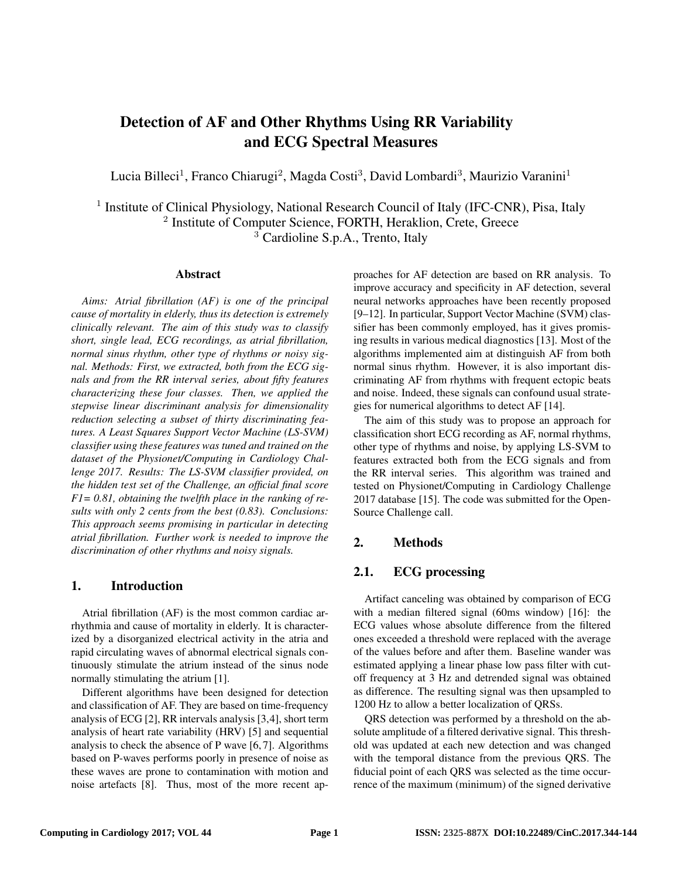# Detection of AF and Other Rhythms Using RR Variability and ECG Spectral Measures

Lucia Billeci<sup>1</sup>, Franco Chiarugi<sup>2</sup>, Magda Costi<sup>3</sup>, David Lombardi<sup>3</sup>, Maurizio Varanini<sup>1</sup>

<sup>1</sup> Institute of Clinical Physiology, National Research Council of Italy (IFC-CNR), Pisa, Italy <sup>2</sup> Institute of Computer Science, FORTH, Heraklion, Crete, Greece <sup>3</sup> Cardioline S.p.A., Trento, Italy

#### Abstract

*Aims: Atrial fibrillation (AF) is one of the principal cause of mortality in elderly, thus its detection is extremely clinically relevant. The aim of this study was to classify short, single lead, ECG recordings, as atrial fibrillation, normal sinus rhythm, other type of rhythms or noisy signal. Methods: First, we extracted, both from the ECG signals and from the RR interval series, about fifty features characterizing these four classes. Then, we applied the stepwise linear discriminant analysis for dimensionality reduction selecting a subset of thirty discriminating features. A Least Squares Support Vector Machine (LS-SVM) classifier using these features was tuned and trained on the dataset of the Physionet/Computing in Cardiology Challenge 2017. Results: The LS-SVM classifier provided, on the hidden test set of the Challenge, an official final score F1= 0.81, obtaining the twelfth place in the ranking of results with only 2 cents from the best (0.83). Conclusions: This approach seems promising in particular in detecting atrial fibrillation. Further work is needed to improve the discrimination of other rhythms and noisy signals.*

## 1. Introduction

Atrial fibrillation (AF) is the most common cardiac arrhythmia and cause of mortality in elderly. It is characterized by a disorganized electrical activity in the atria and rapid circulating waves of abnormal electrical signals continuously stimulate the atrium instead of the sinus node normally stimulating the atrium [1].

Different algorithms have been designed for detection and classification of AF. They are based on time-frequency analysis of ECG [2], RR intervals analysis [3,4], short term analysis of heart rate variability (HRV) [5] and sequential analysis to check the absence of P wave [6, 7]. Algorithms based on P-waves performs poorly in presence of noise as these waves are prone to contamination with motion and noise artefacts [8]. Thus, most of the more recent approaches for AF detection are based on RR analysis. To improve accuracy and specificity in AF detection, several neural networks approaches have been recently proposed [9–12]. In particular, Support Vector Machine (SVM) classifier has been commonly employed, has it gives promising results in various medical diagnostics [13]. Most of the algorithms implemented aim at distinguish AF from both normal sinus rhythm. However, it is also important discriminating AF from rhythms with frequent ectopic beats and noise. Indeed, these signals can confound usual strategies for numerical algorithms to detect AF [14].

The aim of this study was to propose an approach for classification short ECG recording as AF, normal rhythms, other type of rhythms and noise, by applying LS-SVM to features extracted both from the ECG signals and from the RR interval series. This algorithm was trained and tested on Physionet/Computing in Cardiology Challenge 2017 database [15]. The code was submitted for the Open-Source Challenge call.

# 2. Methods

# 2.1. ECG processing

Artifact canceling was obtained by comparison of ECG with a median filtered signal (60ms window) [16]: the ECG values whose absolute difference from the filtered ones exceeded a threshold were replaced with the average of the values before and after them. Baseline wander was estimated applying a linear phase low pass filter with cutoff frequency at 3 Hz and detrended signal was obtained as difference. The resulting signal was then upsampled to 1200 Hz to allow a better localization of QRSs.

QRS detection was performed by a threshold on the absolute amplitude of a filtered derivative signal. This threshold was updated at each new detection and was changed with the temporal distance from the previous QRS. The fiducial point of each QRS was selected as the time occurrence of the maximum (minimum) of the signed derivative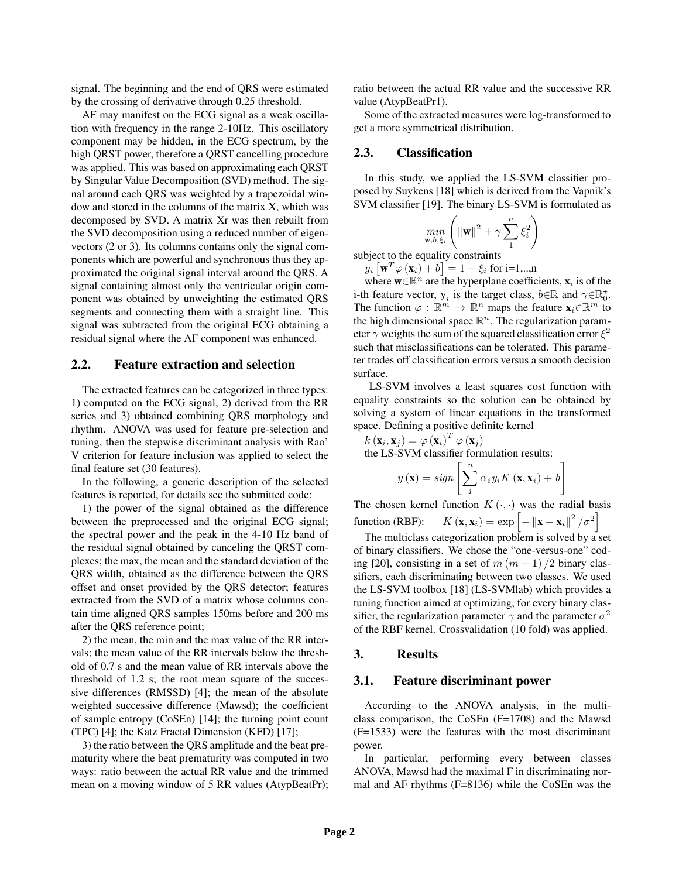signal. The beginning and the end of QRS were estimated by the crossing of derivative through 0.25 threshold.

AF may manifest on the ECG signal as a weak oscillation with frequency in the range 2-10Hz. This oscillatory component may be hidden, in the ECG spectrum, by the high QRST power, therefore a QRST cancelling procedure was applied. This was based on approximating each QRST by Singular Value Decomposition (SVD) method. The signal around each QRS was weighted by a trapezoidal window and stored in the columns of the matrix X, which was decomposed by SVD. A matrix Xr was then rebuilt from the SVD decomposition using a reduced number of eigenvectors (2 or 3). Its columns contains only the signal components which are powerful and synchronous thus they approximated the original signal interval around the QRS. A signal containing almost only the ventricular origin component was obtained by unweighting the estimated QRS segments and connecting them with a straight line. This signal was subtracted from the original ECG obtaining a residual signal where the AF component was enhanced.

## 2.2. Feature extraction and selection

The extracted features can be categorized in three types: 1) computed on the ECG signal, 2) derived from the RR series and 3) obtained combining QRS morphology and rhythm. ANOVA was used for feature pre-selection and tuning, then the stepwise discriminant analysis with Rao' V criterion for feature inclusion was applied to select the final feature set (30 features).

In the following, a generic description of the selected features is reported, for details see the submitted code:

1) the power of the signal obtained as the difference between the preprocessed and the original ECG signal; the spectral power and the peak in the 4-10 Hz band of the residual signal obtained by canceling the QRST complexes; the max, the mean and the standard deviation of the QRS width, obtained as the difference between the QRS offset and onset provided by the QRS detector; features extracted from the SVD of a matrix whose columns contain time aligned QRS samples 150ms before and 200 ms after the QRS reference point;

2) the mean, the min and the max value of the RR intervals; the mean value of the RR intervals below the threshold of 0.7 s and the mean value of RR intervals above the threshold of 1.2 s; the root mean square of the successive differences (RMSSD) [4]; the mean of the absolute weighted successive difference (Mawsd); the coefficient of sample entropy (CoSEn) [14]; the turning point count (TPC) [4]; the Katz Fractal Dimension (KFD) [17];

3) the ratio between the QRS amplitude and the beat prematurity where the beat prematurity was computed in two ways: ratio between the actual RR value and the trimmed mean on a moving window of 5 RR values (AtypBeatPr); ratio between the actual RR value and the successive RR value (AtypBeatPr1).

Some of the extracted measures were log-transformed to get a more symmetrical distribution.

## 2.3. Classification

In this study, we applied the LS-SVM classifier proposed by Suykens [18] which is derived from the Vapnik's SVM classifier [19]. The binary LS-SVM is formulated as

$$
\min_{\mathbf{w}, b, \xi_i} \left( \|\mathbf{w}\|^2 + \gamma \sum_{1}^{n} \xi_i^2 \right)
$$

subject to the equality constraints

 $y_i\left[\mathbf{w}^T\varphi\left(\mathbf{x}_i\right)+b\right]=1-\xi_i$  for i=1,..,n

where  $\mathbf{w} \in \mathbb{R}^n$  are the hyperplane coefficients,  $\mathbf{x}_i$  is of the i-th feature vector,  $y_i$  is the target class,  $b \in \mathbb{R}$  and  $\gamma \in \mathbb{R}_0^+$ . The function  $\varphi : \mathbb{R}^m \to \mathbb{R}^n$  maps the feature  $\mathbf{x}_i \in \mathbb{R}^m$  to the high dimensional space  $\mathbb{R}^n$ . The regularization parameter  $\gamma$  weights the sum of the squared classification error  $\xi^2$ such that misclassifications can be tolerated. This parameter trades off classification errors versus a smooth decision surface.

LS-SVM involves a least squares cost function with equality constraints so the solution can be obtained by solving a system of linear equations in the transformed space. Defining a positive definite kernel

$$
k(\mathbf{x}_i, \mathbf{x}_j) = \varphi(\mathbf{x}_i)^T \varphi(\mathbf{x}_j)
$$
  
the LS-SVM classifier formulation results:  

$$
y(\mathbf{x}) = sign \left[ \sum_{i=1}^{n} \alpha_i y_i K(\mathbf{x}, \mathbf{x}_i) + b \right]
$$

1 The chosen kernel function  $K(\cdot, \cdot)$  was the radial basis function (RBF):  $K(\mathbf{x}, \mathbf{x}_i) = \exp \left[-\left\|\mathbf{x} - \mathbf{x}_i\right\|^2 / \sigma^2\right]$ 

1

The multiclass categorization problem is solved by a set of binary classifiers. We chose the "one-versus-one" coding [20], consisting in a set of  $m (m - 1) / 2$  binary classifiers, each discriminating between two classes. We used the LS-SVM toolbox [18] (LS-SVMlab) which provides a tuning function aimed at optimizing, for every binary classifier, the regularization parameter  $\gamma$  and the parameter  $\sigma^2$ of the RBF kernel. Crossvalidation (10 fold) was applied.

#### 3. Results

#### 3.1. Feature discriminant power

According to the ANOVA analysis, in the multiclass comparison, the CoSEn (F=1708) and the Mawsd (F=1533) were the features with the most discriminant power.

In particular, performing every between classes ANOVA, Mawsd had the maximal F in discriminating normal and AF rhythms (F=8136) while the CoSEn was the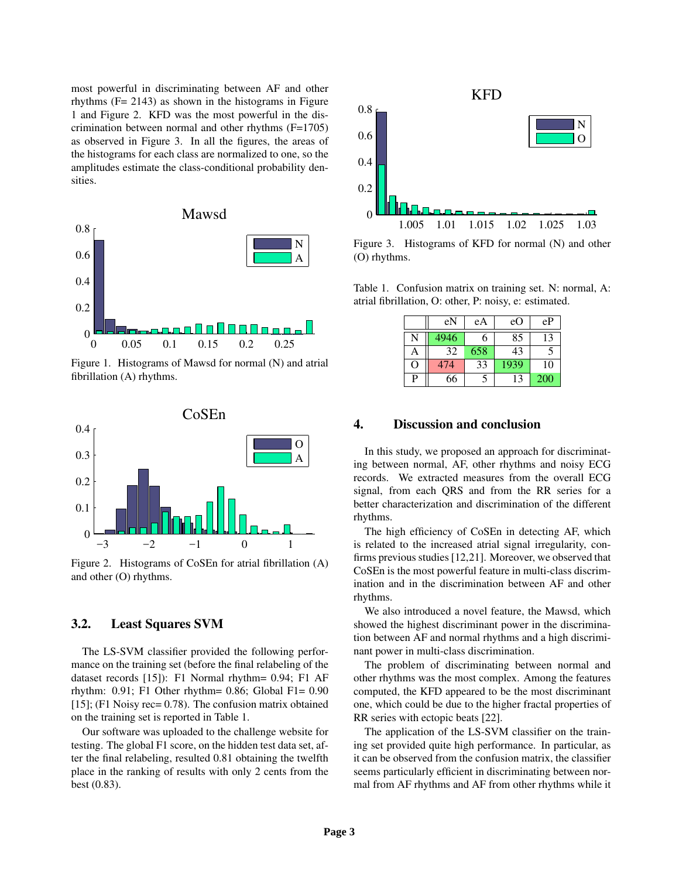most powerful in discriminating between AF and other rhythms  $(F = 2143)$  as shown in the histograms in Figure 1 and Figure 2. KFD was the most powerful in the discrimination between normal and other rhythms (F=1705) as observed in Figure 3. In all the figures, the areas of the histograms for each class are normalized to one, so the amplitudes estimate the class-conditional probability densities.



Figure 1. Histograms of Mawsd for normal (N) and atrial fibrillation (A) rhythms.



Figure 2. Histograms of CoSEn for atrial fibrillation (A) and other (O) rhythms.

### 3.2. Least Squares SVM

The LS-SVM classifier provided the following performance on the training set (before the final relabeling of the dataset records [15]): F1 Normal rhythm= 0.94; F1 AF rhythm:  $0.91$ ; F1 Other rhythm= 0.86; Global F1= 0.90 [15]; (F1 Noisy rec= 0.78). The confusion matrix obtained on the training set is reported in Table 1.

Our software was uploaded to the challenge website for testing. The global F1 score, on the hidden test data set, after the final relabeling, resulted 0.81 obtaining the twelfth place in the ranking of results with only 2 cents from the best (0.83).



Figure 3. Histograms of KFD for normal (N) and other (O) rhythms.

Table 1. Confusion matrix on training set. N: normal, A: atrial fibrillation, O: other, P: noisy, e: estimated.

|   | eN   | eA  | eO   | eP  |
|---|------|-----|------|-----|
|   | 4946 | 6   | 85   | 13  |
| А | 32   | 658 | 43   |     |
| O | 474  | 33  | 1939 | 10  |
| P | 66   |     | 13   | 200 |

#### 4. Discussion and conclusion

In this study, we proposed an approach for discriminating between normal, AF, other rhythms and noisy ECG records. We extracted measures from the overall ECG signal, from each QRS and from the RR series for a better characterization and discrimination of the different rhythms.

The high efficiency of CoSEn in detecting AF, which is related to the increased atrial signal irregularity, confirms previous studies [12,21]. Moreover, we observed that CoSEn is the most powerful feature in multi-class discrimination and in the discrimination between AF and other rhythms.

We also introduced a novel feature, the Mawsd, which showed the highest discriminant power in the discrimination between AF and normal rhythms and a high discriminant power in multi-class discrimination.

The problem of discriminating between normal and other rhythms was the most complex. Among the features computed, the KFD appeared to be the most discriminant one, which could be due to the higher fractal properties of RR series with ectopic beats [22].

The application of the LS-SVM classifier on the training set provided quite high performance. In particular, as it can be observed from the confusion matrix, the classifier seems particularly efficient in discriminating between normal from AF rhythms and AF from other rhythms while it